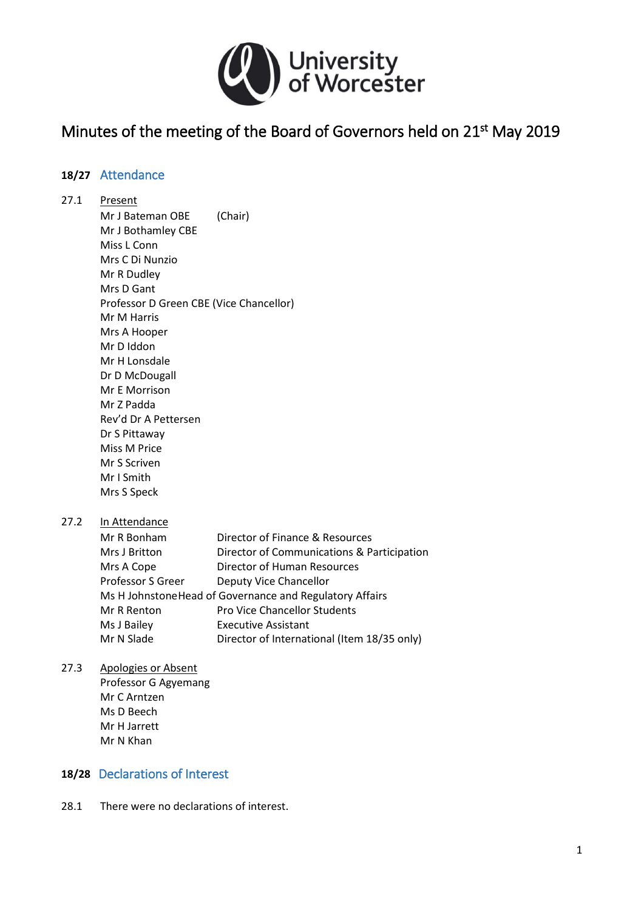

# Minutes of the meeting of the Board of Governors held on 21<sup>st</sup> May 2019

### **18/27** Attendance

#### 27.1 Present Mr J Bateman OBE (Chair) Mr J Bothamley CBE Miss L Conn Mrs C Di Nunzio Mr R Dudley Mrs D Gant Professor D Green CBE (Vice Chancellor) Mr M Harris Mrs A Hooper Mr D Iddon Mr H Lonsdale Dr D McDougall Mr E Morrison Mr Z Padda Rev'd Dr A Pettersen Dr S Pittaway Miss M Price Mr S Scriven Mr I Smith Mrs S Speck

27.2 In Attendance

| Mr R Bonham                                              | Director of Finance & Resources             |
|----------------------------------------------------------|---------------------------------------------|
| Mrs J Britton                                            | Director of Communications & Participation  |
| Mrs A Cope                                               | Director of Human Resources                 |
| Professor S Greer                                        | Deputy Vice Chancellor                      |
| Ms H Johnstone Head of Governance and Regulatory Affairs |                                             |
| Mr R Renton                                              | <b>Pro Vice Chancellor Students</b>         |
| Ms J Bailey                                              | <b>Executive Assistant</b>                  |
| Mr N Slade                                               | Director of International (Item 18/35 only) |

#### 27.3 Apologies or Absent

Professor G Agyemang Mr C Arntzen Ms D Beech Mr H Jarrett Mr N Khan

#### **18/28** Declarations of Interest

28.1 There were no declarations of interest.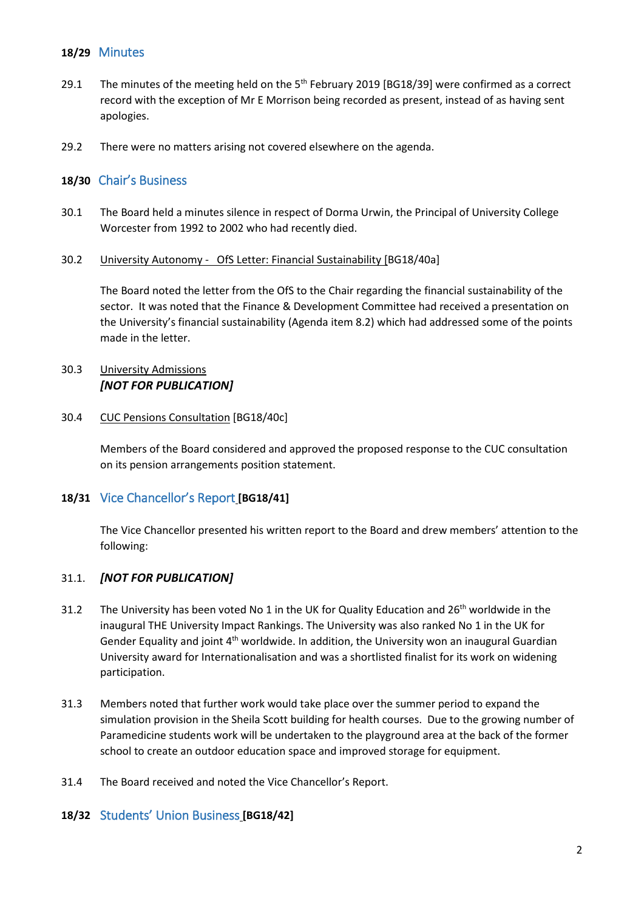#### **18/29** Minutes

- 29.1 The minutes of the meeting held on the  $5<sup>th</sup>$  February 2019 [BG18/39] were confirmed as a correct record with the exception of Mr E Morrison being recorded as present, instead of as having sent apologies.
- 29.2 There were no matters arising not covered elsewhere on the agenda.

# **18/30** Chair's Business

- 30.1 The Board held a minutes silence in respect of Dorma Urwin, the Principal of University College Worcester from 1992 to 2002 who had recently died.
- 30.2 University Autonomy OfS Letter: Financial Sustainability [BG18/40a]

The Board noted the letter from the OfS to the Chair regarding the financial sustainability of the sector. It was noted that the Finance & Development Committee had received a presentation on the University's financial sustainability (Agenda item 8.2) which had addressed some of the points made in the letter.

# 30.3 University Admissions *[NOT FOR PUBLICATION]*

#### 30.4 CUC Pensions Consultation [BG18/40c]

Members of the Board considered and approved the proposed response to the CUC consultation on its pension arrangements position statement.

#### **18/31** Vice Chancellor's Report **[BG18/41]**

The Vice Chancellor presented his written report to the Board and drew members' attention to the following:

#### 31.1. *[NOT FOR PUBLICATION]*

- 31.2 The University has been voted No 1 in the UK for Quality Education and  $26<sup>th</sup>$  worldwide in the inaugural THE University Impact Rankings. The University was also ranked No 1 in the UK for Gender Equality and joint  $4<sup>th</sup>$  worldwide. In addition, the University won an inaugural Guardian University award for Internationalisation and was a shortlisted finalist for its work on widening participation.
- 31.3 Members noted that further work would take place over the summer period to expand the simulation provision in the Sheila Scott building for health courses. Due to the growing number of Paramedicine students work will be undertaken to the playground area at the back of the former school to create an outdoor education space and improved storage for equipment.
- 31.4 The Board received and noted the Vice Chancellor's Report.

#### **18/32** Students' Union Business **[BG18/42]**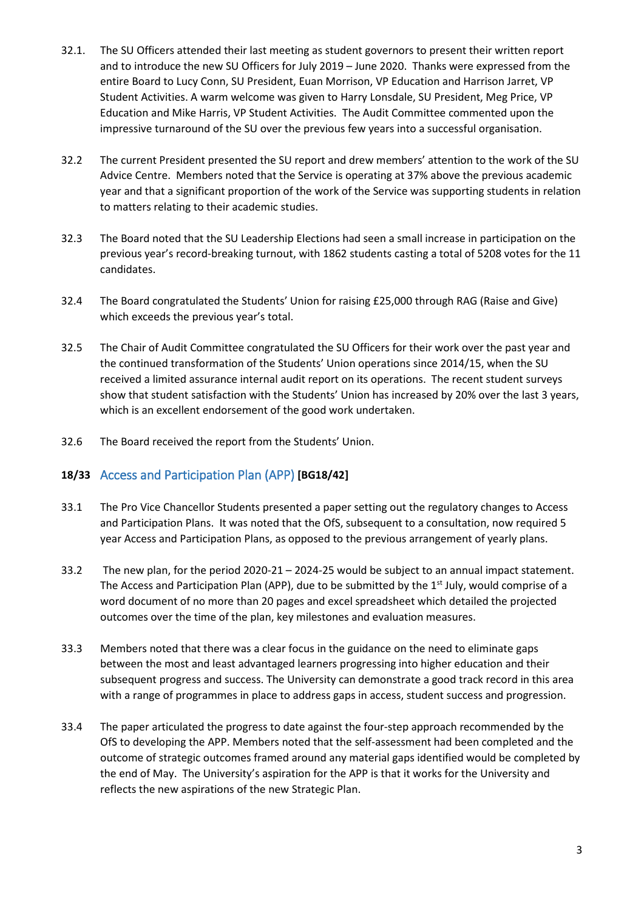- 32.1. The SU Officers attended their last meeting as student governors to present their written report and to introduce the new SU Officers for July 2019 – June 2020. Thanks were expressed from the entire Board to Lucy Conn, SU President, Euan Morrison, VP Education and Harrison Jarret, VP Student Activities. A warm welcome was given to Harry Lonsdale, SU President, Meg Price, VP Education and Mike Harris, VP Student Activities. The Audit Committee commented upon the impressive turnaround of the SU over the previous few years into a successful organisation.
- 32.2 The current President presented the SU report and drew members' attention to the work of the SU Advice Centre. Members noted that the Service is operating at 37% above the previous academic year and that a significant proportion of the work of the Service was supporting students in relation to matters relating to their academic studies.
- 32.3 The Board noted that the SU Leadership Elections had seen a small increase in participation on the previous year's record-breaking turnout, with 1862 students casting a total of 5208 votes for the 11 candidates.
- 32.4 The Board congratulated the Students' Union for raising £25,000 through RAG (Raise and Give) which exceeds the previous year's total.
- 32.5 The Chair of Audit Committee congratulated the SU Officers for their work over the past year and the continued transformation of the Students' Union operations since 2014/15, when the SU received a limited assurance internal audit report on its operations. The recent student surveys show that student satisfaction with the Students' Union has increased by 20% over the last 3 years, which is an excellent endorsement of the good work undertaken.
- 32.6 The Board received the report from the Students' Union.

#### **18/33** Access and Participation Plan (APP) **[BG18/42]**

- 33.1 The Pro Vice Chancellor Students presented a paper setting out the regulatory changes to Access and Participation Plans. It was noted that the OfS, subsequent to a consultation, now required 5 year Access and Participation Plans, as opposed to the previous arrangement of yearly plans.
- 33.2 The new plan, for the period 2020-21 2024-25 would be subject to an annual impact statement. The Access and Participation Plan (APP), due to be submitted by the  $1<sup>st</sup>$  July, would comprise of a word document of no more than 20 pages and excel spreadsheet which detailed the projected outcomes over the time of the plan, key milestones and evaluation measures.
- 33.3 Members noted that there was a clear focus in the guidance on the need to eliminate gaps between the most and least advantaged learners progressing into higher education and their subsequent progress and success. The University can demonstrate a good track record in this area with a range of programmes in place to address gaps in access, student success and progression.
- 33.4 The paper articulated the progress to date against the four-step approach recommended by the OfS to developing the APP. Members noted that the self-assessment had been completed and the outcome of strategic outcomes framed around any material gaps identified would be completed by the end of May. The University's aspiration for the APP is that it works for the University and reflects the new aspirations of the new Strategic Plan.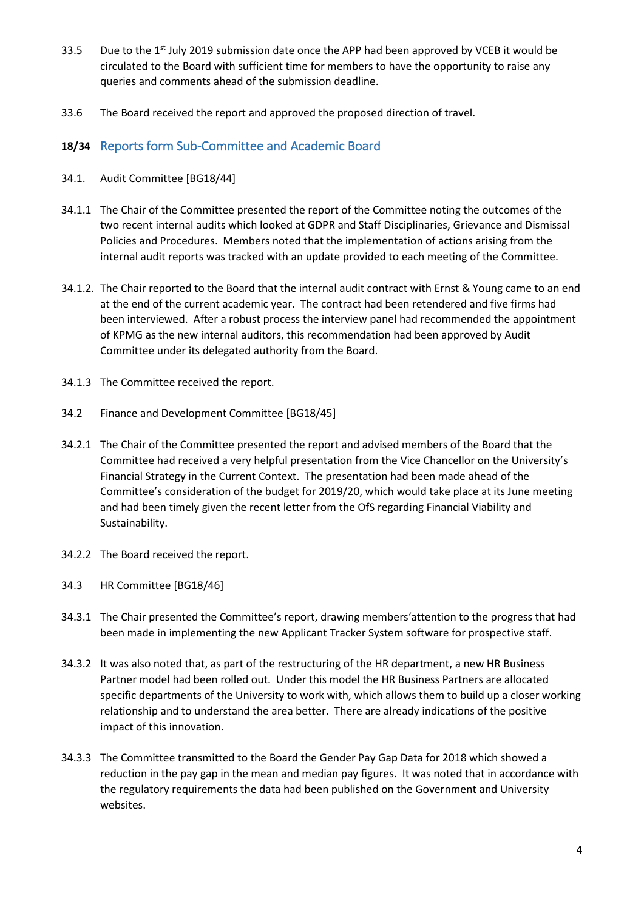- 33.5 Due to the  $1<sup>st</sup>$  July 2019 submission date once the APP had been approved by VCEB it would be circulated to the Board with sufficient time for members to have the opportunity to raise any queries and comments ahead of the submission deadline.
- 33.6 The Board received the report and approved the proposed direction of travel.

# **18/34** Reports form Sub-Committee and Academic Board

#### 34.1. Audit Committee [BG18/44]

- 34.1.1 The Chair of the Committee presented the report of the Committee noting the outcomes of the two recent internal audits which looked at GDPR and Staff Disciplinaries, Grievance and Dismissal Policies and Procedures. Members noted that the implementation of actions arising from the internal audit reports was tracked with an update provided to each meeting of the Committee.
- 34.1.2. The Chair reported to the Board that the internal audit contract with Ernst & Young came to an end at the end of the current academic year. The contract had been retendered and five firms had been interviewed. After a robust process the interview panel had recommended the appointment of KPMG as the new internal auditors, this recommendation had been approved by Audit Committee under its delegated authority from the Board.
- 34.1.3 The Committee received the report.
- 34.2 Finance and Development Committee [BG18/45]
- 34.2.1 The Chair of the Committee presented the report and advised members of the Board that the Committee had received a very helpful presentation from the Vice Chancellor on the University's Financial Strategy in the Current Context. The presentation had been made ahead of the Committee's consideration of the budget for 2019/20, which would take place at its June meeting and had been timely given the recent letter from the OfS regarding Financial Viability and Sustainability.
- 34.2.2 The Board received the report.
- 34.3 HR Committee [BG18/46]
- 34.3.1 The Chair presented the Committee's report, drawing members'attention to the progress that had been made in implementing the new Applicant Tracker System software for prospective staff.
- 34.3.2 It was also noted that, as part of the restructuring of the HR department, a new HR Business Partner model had been rolled out. Under this model the HR Business Partners are allocated specific departments of the University to work with, which allows them to build up a closer working relationship and to understand the area better. There are already indications of the positive impact of this innovation.
- 34.3.3 The Committee transmitted to the Board the Gender Pay Gap Data for 2018 which showed a reduction in the pay gap in the mean and median pay figures. It was noted that in accordance with the regulatory requirements the data had been published on the Government and University websites.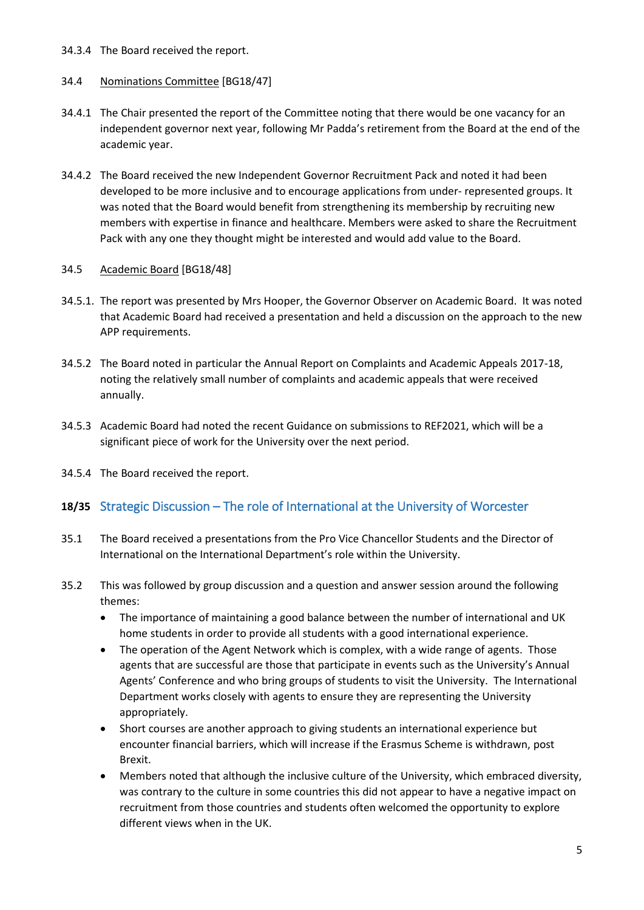#### 34.3.4 The Board received the report.

#### 34.4 Nominations Committee [BG18/47]

- 34.4.1 The Chair presented the report of the Committee noting that there would be one vacancy for an independent governor next year, following Mr Padda's retirement from the Board at the end of the academic year.
- 34.4.2 The Board received the new Independent Governor Recruitment Pack and noted it had been developed to be more inclusive and to encourage applications from under- represented groups. It was noted that the Board would benefit from strengthening its membership by recruiting new members with expertise in finance and healthcare. Members were asked to share the Recruitment Pack with any one they thought might be interested and would add value to the Board.

#### 34.5 Academic Board [BG18/48]

- 34.5.1. The report was presented by Mrs Hooper, the Governor Observer on Academic Board. It was noted that Academic Board had received a presentation and held a discussion on the approach to the new APP requirements.
- 34.5.2 The Board noted in particular the Annual Report on Complaints and Academic Appeals 2017-18, noting the relatively small number of complaints and academic appeals that were received annually.
- 34.5.3 Academic Board had noted the recent Guidance on submissions to REF2021, which will be a significant piece of work for the University over the next period.
- 34.5.4 The Board received the report.

# **18/35** Strategic Discussion – The role of International at the University of Worcester

- 35.1 The Board received a presentations from the Pro Vice Chancellor Students and the Director of International on the International Department's role within the University.
- 35.2 This was followed by group discussion and a question and answer session around the following themes:
	- The importance of maintaining a good balance between the number of international and UK home students in order to provide all students with a good international experience.
	- The operation of the Agent Network which is complex, with a wide range of agents. Those agents that are successful are those that participate in events such as the University's Annual Agents' Conference and who bring groups of students to visit the University. The International Department works closely with agents to ensure they are representing the University appropriately.
	- Short courses are another approach to giving students an international experience but encounter financial barriers, which will increase if the Erasmus Scheme is withdrawn, post Brexit.
	- Members noted that although the inclusive culture of the University, which embraced diversity, was contrary to the culture in some countries this did not appear to have a negative impact on recruitment from those countries and students often welcomed the opportunity to explore different views when in the UK.